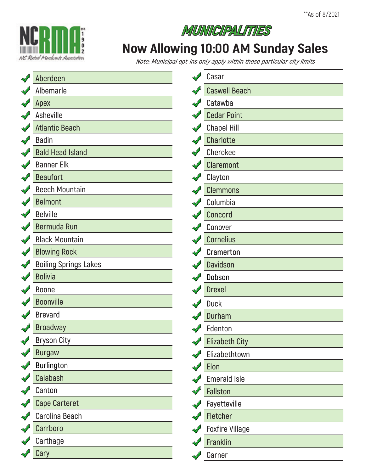



## **Now Allowing 10:00 AM Sunday Sales**

**Note: Municipal opt-ins only apply within those particular city limits**

| Aberdeen                     | $\sqrt{2}$ | Casar                  |
|------------------------------|------------|------------------------|
| Albemarle                    |            | <b>Caswell Beach</b>   |
| Apex                         |            | Catawba                |
| <b>Asheville</b>             |            | <b>Cedar Point</b>     |
| <b>Atlantic Beach</b>        |            | <b>Chapel Hill</b>     |
| <b>Badin</b>                 |            | Charlotte              |
| <b>Bald Head Island</b>      |            | Cherokee               |
| <b>Banner Elk</b>            |            | <b>Claremont</b>       |
| <b>Beaufort</b>              |            | Clayton                |
| <b>Beech Mountain</b>        |            | <b>Clemmons</b>        |
| <b>Belmont</b>               |            | Columbia               |
| <b>Belville</b>              |            | Concord                |
| Bermuda Run                  |            | Conover                |
| <b>Black Mountain</b>        |            | <b>Cornelius</b>       |
| <b>Blowing Rock</b>          |            | <b>Cramerton</b>       |
| <b>Boiling Springs Lakes</b> |            | <b>Davidson</b>        |
| <b>Bolivia</b>               |            | Dobson                 |
| <b>Boone</b>                 |            | <b>Drexel</b>          |
| <b>Boonville</b>             |            | <b>Duck</b>            |
| <b>Brevard</b>               |            | <b>Durham</b>          |
| <b>Broadway</b>              |            | Edenton                |
| <b>Bryson City</b>           |            | <b>Elizabeth City</b>  |
| <b>Burgaw</b>                |            | Elizabethtown          |
| Burlington                   |            | Elon                   |
| Calabash                     |            | <b>Emerald Isle</b>    |
| Canton                       |            | Fallston               |
| <b>Cape Carteret</b>         |            | Fayetteville           |
| Carolina Beach               |            | Fletcher               |
| Carrboro                     |            | <b>Foxfire Village</b> |
| Carthage                     |            | Franklin               |
| Cary                         |            | Garner                 |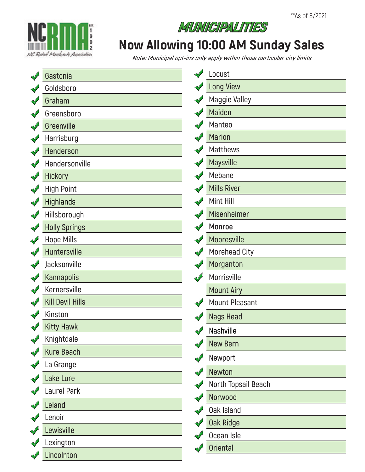

#### **MUNICIPALITIES**

#### **Now Allowing 10:00 AM Sunday Sales**

**Note: Municipal opt-ins only apply within those particular city limits**

| Gastonia                | Locust                |
|-------------------------|-----------------------|
| Goldsboro               | <b>Long View</b>      |
| Graham                  | <b>Maggie Valley</b>  |
| Greensboro              | <b>Maiden</b>         |
| Greenville              | Manteo                |
| Harrisburg              | <b>Marion</b>         |
| Henderson               | <b>Matthews</b>       |
| Hendersonville          | <b>Maysville</b>      |
| <b>Hickory</b>          | Mebane                |
| <b>High Point</b>       | <b>Mills River</b>    |
| <b>Highlands</b>        | Mint Hill             |
| Hillsborough            | <b>Misenheimer</b>    |
| <b>Holly Springs</b>    | <b>Monroe</b>         |
| <b>Hope Mills</b>       | Mooresville           |
| Huntersville            | <b>Morehead City</b>  |
| Jacksonville            | Morganton             |
| <b>Kannapolis</b>       | Morrisville           |
| Kernersville            | <b>Mount Airy</b>     |
| <b>Kill Devil Hills</b> | <b>Mount Pleasant</b> |
| Kinston                 | <b>Nags Head</b>      |
| <b>Kitty Hawk</b>       | Nashville             |
| Knightdale              | <b>New Bern</b>       |
| <b>Kure Beach</b>       | Newport               |
| La Grange               | Newton                |
| Lake Lure               | North Topsail Beach   |
| Laurel Park             | Norwood               |
| Leland                  | <b>Oak Island</b>     |
| Lenoir                  | <b>Oak Ridge</b>      |
| Lewisville              | Ocean Isle            |
| Lexington               | <b>Oriental</b>       |
| Lincolnton              |                       |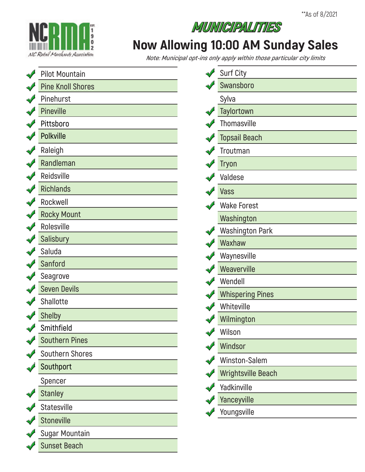

# **Now Allowing 10:00 AM Sunday Sales**

**MUNICIPALITIES** 

**Note: Municipal opt-ins only apply within those particular city limits**

| $\sqrt{}$       | <b>Pilot Mountain</b>    | <b>Surf City</b>          |
|-----------------|--------------------------|---------------------------|
|                 | <b>Pine Knoll Shores</b> | Swansboro                 |
|                 | Pinehurst                | Sylva                     |
|                 | Pineville                | Taylortown                |
|                 | Pittsboro                | Thomasville               |
|                 | <b>Polkville</b>         | <b>Topsail Beach</b>      |
|                 | Raleigh                  | Troutman                  |
|                 | Randleman                | <b>Tryon</b>              |
|                 | Reidsville               | Valdese                   |
| $\triangleleft$ | <b>Richlands</b>         | Vass                      |
|                 | Rockwell                 | <b>Wake Forest</b>        |
|                 | <b>Rocky Mount</b>       | Washington                |
|                 | Rolesville               | <b>Washington Park</b>    |
|                 | <b>Salisbury</b>         | Waxhaw                    |
|                 | Saluda                   | Waynesville               |
|                 | Sanford                  | Weaverville               |
|                 | Seagrove                 | Wendell                   |
|                 | <b>Seven Devils</b>      | <b>Whispering Pines</b>   |
|                 | <b>Shallotte</b>         | Whiteville                |
|                 | <b>Shelby</b>            | Wilmington                |
|                 | Smithfield               | Wilson                    |
|                 | <b>Southern Pines</b>    | Windsor                   |
|                 | <b>Southern Shores</b>   |                           |
|                 | Southport                | Winston-Salem             |
|                 | Spencer                  | <b>Wrightsville Beach</b> |
|                 | <b>Stanley</b>           | Yadkinville               |
|                 | <b>Statesville</b>       | Yanceyville               |
|                 | <b>Stoneville</b>        | Youngsville               |
|                 | <b>Sugar Mountain</b>    |                           |
|                 | <b>Sunset Beach</b>      |                           |